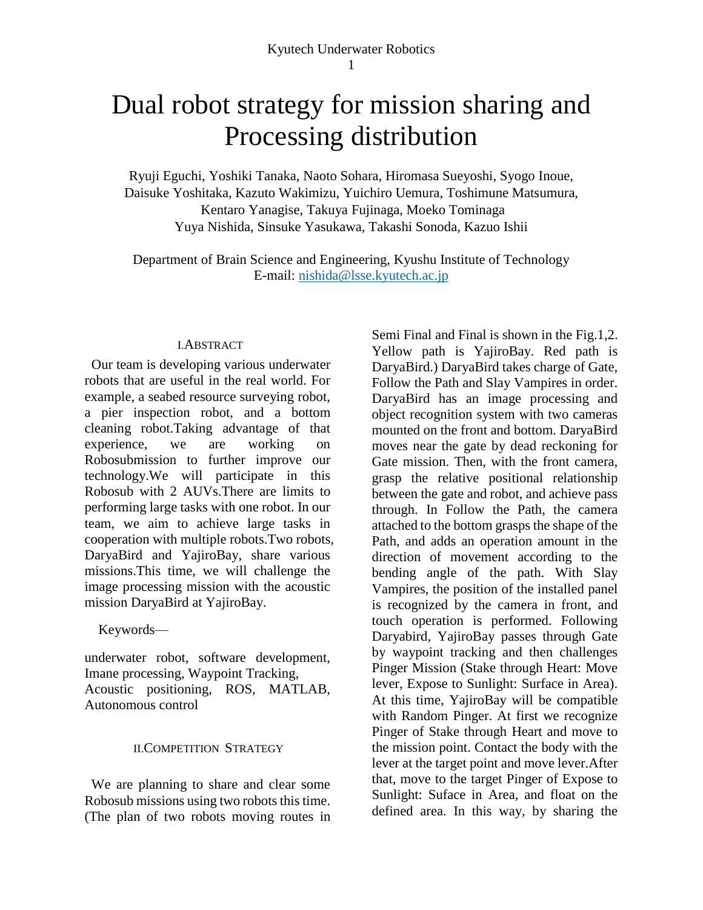# Dual robot strategy for mission sharing and Processing distribution

Ryuji Eguchi, Yoshiki Tanaka, Naoto Sohara, Hiromasa Sueyoshi, Syogo Inoue, Daisuke Yoshitaka, Kazuto Wakimizu, Yuichiro Uemura, Toshimune Matsumura, Kentaro Yanagise, Takuya Fujinaga, Moeko Tominaga Yuya Nishida, Sinsuke Yasukawa, Takashi Sonoda, Kazuo Ishii

Department of Brain Science and Engineering, Kyushu Institute of Technology E-mail: [nishida@lsse.kyutech.ac.jp](mailto:nishida@lsse.kyutech.ac.jp)

#### I.ABSTRACT

Our team is developing various underwater robots that are useful in the real world. For example, a seabed resource surveying robot, a pier inspection robot, and a bottom cleaning robot.Taking advantage of that experience, we are working on Robosubmission to further improve our technology.We will participate in this Robosub with 2 AUVs.There are limits to performing large tasks with one robot. In our team, we aim to achieve large tasks in cooperation with multiple robots.Two robots, DaryaBird and YajiroBay, share various missions.This time, we will challenge the image processing mission with the acoustic mission DaryaBird at YajiroBay.

Keywords—

underwater robot, software development, Imane processing, Waypoint Tracking, Acoustic positioning, ROS, MATLAB, Autonomous control

#### II.COMPETITION STRATEGY

We are planning to share and clear some Robosub missions using two robots this time. (The plan of two robots moving routes in Semi Final and Final is shown in the Fig.1,2. Yellow path is YajiroBay. Red path is DaryaBird.) DaryaBird takes charge of Gate, Follow the Path and Slay Vampires in order. DaryaBird has an image processing and object recognition system with two cameras mounted on the front and bottom. DaryaBird moves near the gate by dead reckoning for Gate mission. Then, with the front camera, grasp the relative positional relationship between the gate and robot, and achieve pass through. In Follow the Path, the camera attached to the bottom grasps the shape of the Path, and adds an operation amount in the direction of movement according to the bending angle of the path. With Slay Vampires, the position of the installed panel is recognized by the camera in front, and touch operation is performed. Following Daryabird, YajiroBay passes through Gate by waypoint tracking and then challenges Pinger Mission (Stake through Heart: Move lever, Expose to Sunlight: Surface in Area). At this time, YajiroBay will be compatible with Random Pinger. At first we recognize Pinger of Stake through Heart and move to the mission point. Contact the body with the lever at the target point and move lever.After that, move to the target Pinger of Expose to Sunlight: Suface in Area, and float on the defined area. In this way, by sharing the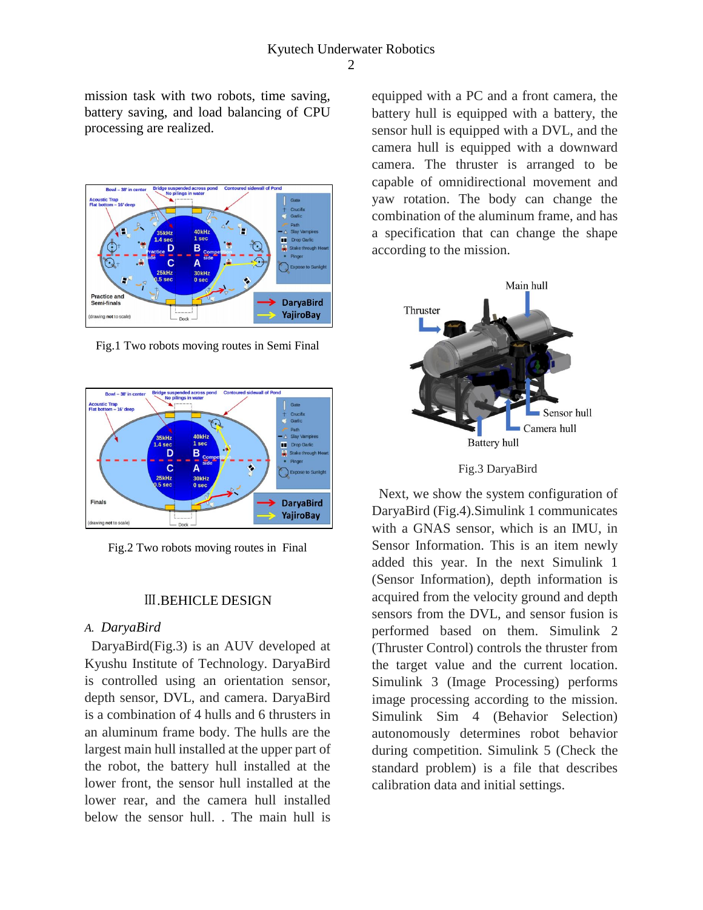mission task with two robots, time saving, battery saving, and load balancing of CPU processing are realized.



Fig.1 Two robots moving routes in Semi Final



Fig.2 Two robots moving routes in Final

#### Ⅲ.BEHICLE DESIGN

#### *A. DaryaBird*

DaryaBird(Fig.3) is an AUV developed at Kyushu Institute of Technology. DaryaBird is controlled using an orientation sensor, depth sensor, DVL, and camera. DaryaBird is a combination of 4 hulls and 6 thrusters in an aluminum frame body. The hulls are the largest main hull installed at the upper part of the robot, the battery hull installed at the lower front, the sensor hull installed at the lower rear, and the camera hull installed below the sensor hull. . The main hull is

equipped with a PC and a front camera, the battery hull is equipped with a battery, the sensor hull is equipped with a DVL, and the camera hull is equipped with a downward camera. The thruster is arranged to be capable of omnidirectional movement and yaw rotation. The body can change the combination of the aluminum frame, and has a specification that can change the shape according to the mission.



Fig.3 DaryaBird

Next, we show the system configuration of DaryaBird (Fig.4).Simulink 1 communicates with a GNAS sensor, which is an IMU, in Sensor Information. This is an item newly added this year. In the next Simulink 1 (Sensor Information), depth information is acquired from the velocity ground and depth sensors from the DVL, and sensor fusion is performed based on them. Simulink 2 (Thruster Control) controls the thruster from the target value and the current location. Simulink 3 (Image Processing) performs image processing according to the mission. Simulink Sim 4 (Behavior Selection) autonomously determines robot behavior during competition. Simulink 5 (Check the standard problem) is a file that describes calibration data and initial settings.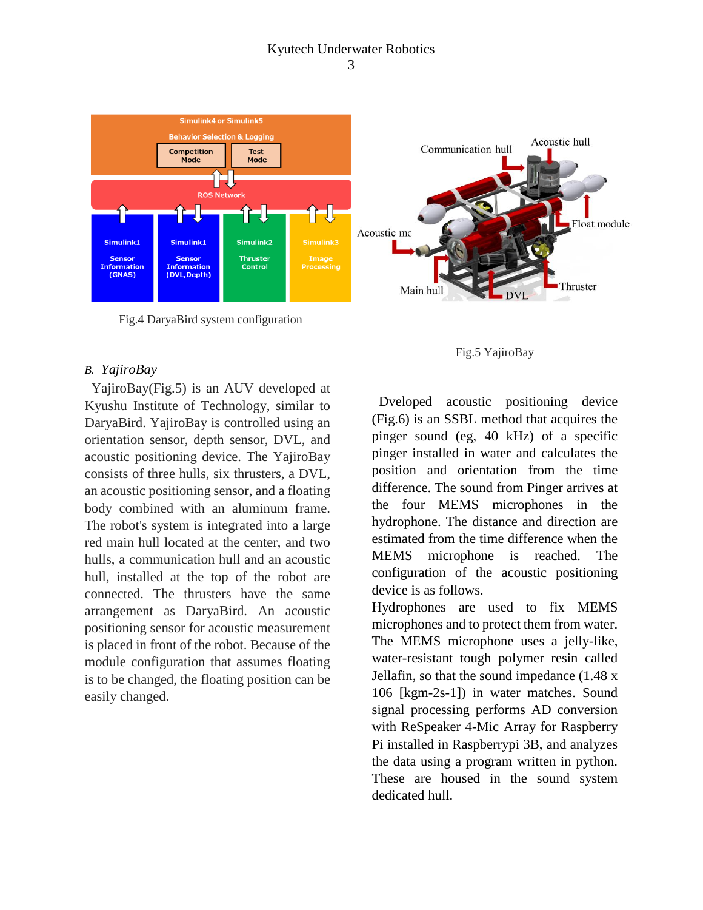3



Fig.4 DaryaBird system configuration

#### *B. YajiroBay*

YajiroBay(Fig.5) is an AUV developed at Kyushu Institute of Technology, similar to DaryaBird. YajiroBay is controlled using an orientation sensor, depth sensor, DVL, and acoustic positioning device. The YajiroBay consists of three hulls, six thrusters, a DVL, an acoustic positioning sensor, and a floating body combined with an aluminum frame. The robot's system is integrated into a large red main hull located at the center, and two hulls, a communication hull and an acoustic hull, installed at the top of the robot are connected. The thrusters have the same arrangement as DaryaBird. An acoustic positioning sensor for acoustic measurement is placed in front of the robot. Because of the module configuration that assumes floating is to be changed, the floating position can be easily changed.

#### Fig.5 YajiroBay

Dveloped acoustic positioning device (Fig.6) is an SSBL method that acquires the pinger sound (eg, 40 kHz) of a specific pinger installed in water and calculates the position and orientation from the time difference. The sound from Pinger arrives at the four MEMS microphones in the hydrophone. The distance and direction are estimated from the time difference when the MEMS microphone is reached. The configuration of the acoustic positioning device is as follows.

Hydrophones are used to fix MEMS microphones and to protect them from water. The MEMS microphone uses a jelly-like, water-resistant tough polymer resin called Jellafin, so that the sound impedance (1.48 x 106 [kgm-2s-1]) in water matches. Sound signal processing performs AD conversion with ReSpeaker 4-Mic Array for Raspberry Pi installed in Raspberrypi 3B, and analyzes the data using a program written in python. These are housed in the sound system dedicated hull.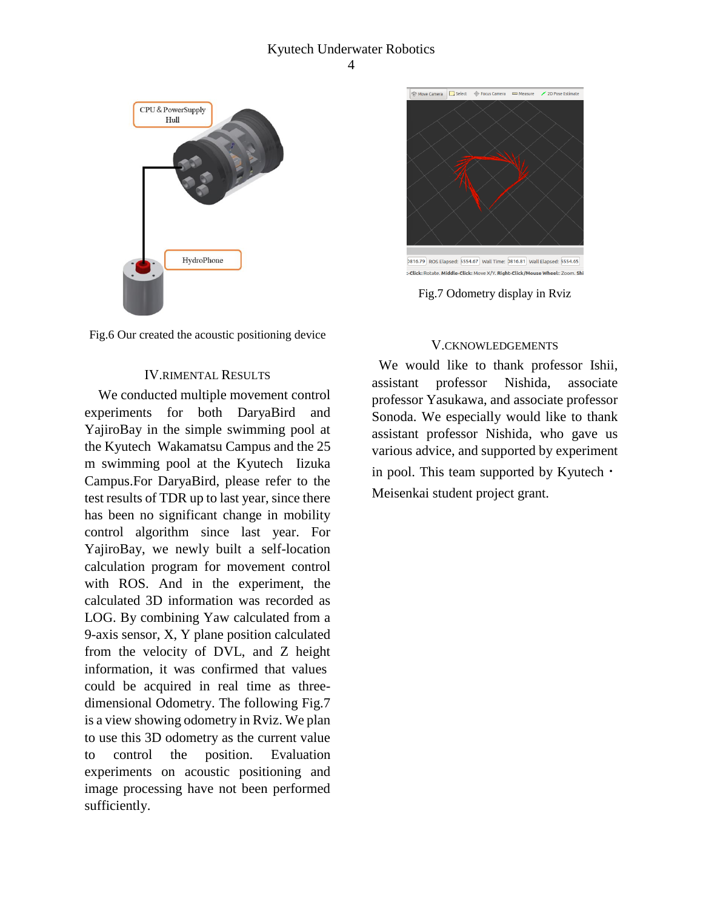4





#### Ⅳ.RIMENTAL RESULTS

We conducted multiple movement control experiments for both DaryaBird and YajiroBay in the simple swimming pool at the Kyutech Wakamatsu Campus and the 25 m swimming pool at the Kyutech Iizuka Campus.For DaryaBird, please refer to the test results of TDR up to last year, since there has been no significant change in mobility control algorithm since last year. For YajiroBay, we newly built a self-location calculation program for movement control with ROS. And in the experiment, the calculated 3D information was recorded as LOG. By combining Yaw calculated from a 9-axis sensor, X, Y plane position calculated from the velocity of DVL, and Z height information, it was confirmed that values could be acquired in real time as threedimensional Odometry. The following Fig.7 is a view showing odometry in Rviz. We plan to use this 3D odometry as the current value to control the position. Evaluation experiments on acoustic positioning and image processing have not been performed sufficiently.



Fig.7 Odometry display in Rviz

#### Ⅴ.CKNOWLEDGEMENTS

We would like to thank professor Ishii, assistant professor Nishida, associate professor Yasukawa, and associate professor Sonoda. We especially would like to thank assistant professor Nishida, who gave us various advice, and supported by experiment in pool. This team supported by Kyutech  $\cdot$ Meisenkai student project grant.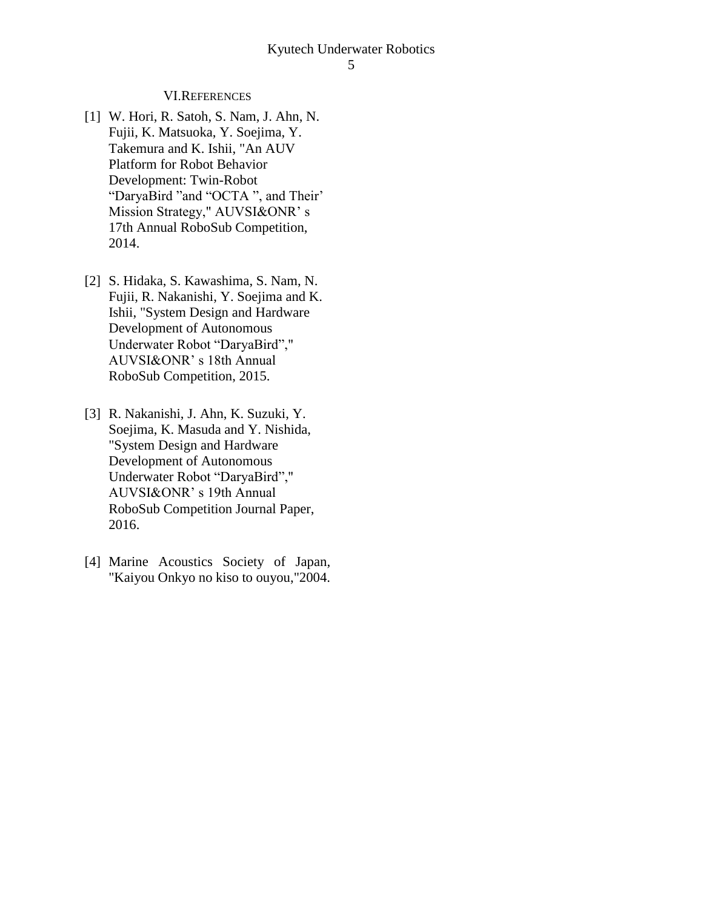#### Ⅵ.REFERENCES

- [1] W. Hori, R. Satoh, S. Nam, J. Ahn, N. Fujii, K. Matsuoka, Y. Soejima, Y. Takemura and K. Ishii, "An AUV Platform for Robot Behavior Development: Twin-Robot "DaryaBird "and "OCTA ", and Their' Mission Strategy," AUVSI&ONR' s 17th Annual RoboSub Competition, 2014.
- [2] S. Hidaka, S. Kawashima, S. Nam, N. Fujii, R. Nakanishi, Y. Soejima and K. Ishii, "System Design and Hardware Development of Autonomous Underwater Robot "DaryaBird"," AUVSI&ONR' s 18th Annual RoboSub Competition, 2015.
- [3] R. Nakanishi, J. Ahn, K. Suzuki, Y. Soejima, K. Masuda and Y. Nishida, "System Design and Hardware Development of Autonomous Underwater Robot "DaryaBird"," AUVSI&ONR' s 19th Annual RoboSub Competition Journal Paper, 2016.
- [4] Marine Acoustics Society of Japan, "Kaiyou Onkyo no kiso to ouyou,"2004.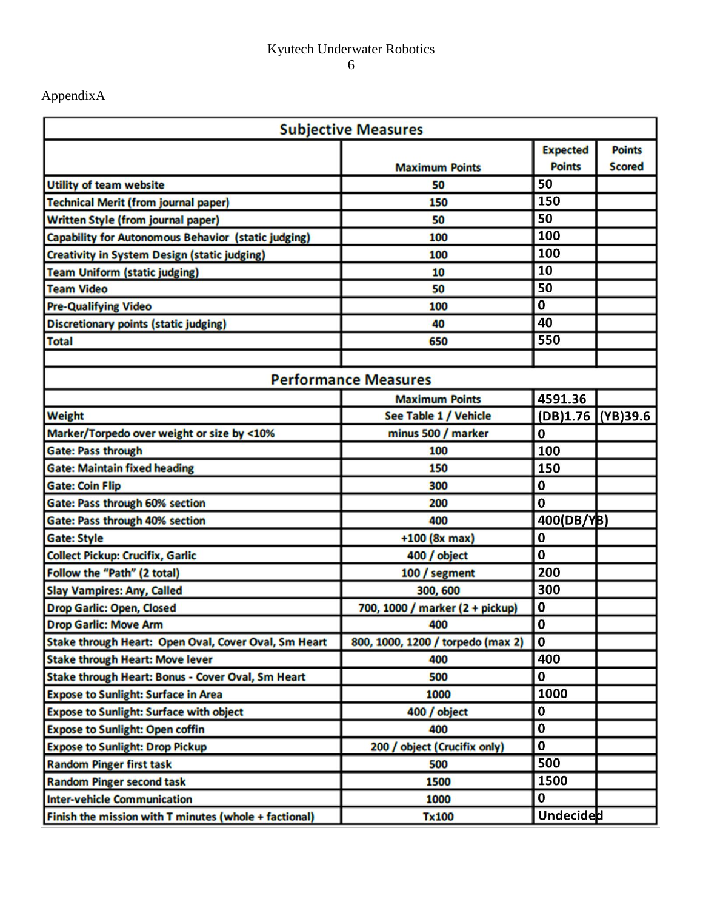6

AppendixA

| <b>Subjective Measures</b>                                 |                                   |                  |                   |  |  |  |
|------------------------------------------------------------|-----------------------------------|------------------|-------------------|--|--|--|
|                                                            |                                   | <b>Expected</b>  | <b>Points</b>     |  |  |  |
|                                                            | <b>Maximum Points</b>             | <b>Points</b>    | <b>Scored</b>     |  |  |  |
| <b>Utility of team website</b>                             | 50                                | 50               |                   |  |  |  |
| <b>Technical Merit (from journal paper)</b>                | 150                               | 150              |                   |  |  |  |
| <b>Written Style (from journal paper)</b>                  | 50                                | 50               |                   |  |  |  |
| <b>Capability for Autonomous Behavior (static judging)</b> | 100                               | 100              |                   |  |  |  |
| <b>Creativity in System Design (static judging)</b>        | 100                               | 100              |                   |  |  |  |
| <b>Team Uniform (static judging)</b>                       | 10                                | 10               |                   |  |  |  |
| <b>Team Video</b>                                          | 50                                | 50               |                   |  |  |  |
| <b>Pre-Qualifying Video</b>                                | 100                               | 0                |                   |  |  |  |
| <b>Discretionary points (static judging)</b>               | 40<br>40                          |                  |                   |  |  |  |
| <b>Total</b>                                               | 650                               | 550              |                   |  |  |  |
|                                                            |                                   |                  |                   |  |  |  |
|                                                            | <b>Performance Measures</b>       |                  |                   |  |  |  |
|                                                            | <b>Maximum Points</b>             | 4591.36          |                   |  |  |  |
| <b>Weight</b>                                              | See Table 1 / Vehicle             |                  | (DB)1.76 (YB)39.6 |  |  |  |
| Marker/Torpedo over weight or size by <10%                 | minus 500 / marker                | $\bf{0}$         |                   |  |  |  |
| <b>Gate: Pass through</b>                                  | 100                               | 100              |                   |  |  |  |
| <b>Gate: Maintain fixed heading</b>                        | 150                               | 150              |                   |  |  |  |
| <b>Gate: Coin Flip</b>                                     | 300                               | $\bf{0}$         |                   |  |  |  |
| <b>Gate: Pass through 60% section</b>                      | 200                               | 0                |                   |  |  |  |
| <b>Gate: Pass through 40% section</b>                      | 400(DB/YB)<br>400                 |                  |                   |  |  |  |
| <b>Gate: Style</b>                                         | $+100 (8x max)$                   | 0                |                   |  |  |  |
| <b>Collect Pickup: Crucifix, Garlic</b>                    | 0<br>400 / object                 |                  |                   |  |  |  |
| Follow the "Path" (2 total)                                | 200<br>100 / segment              |                  |                   |  |  |  |
| <b>Slay Vampires: Any, Called</b>                          | 300<br>300, 600                   |                  |                   |  |  |  |
| <b>Drop Garlic: Open, Closed</b>                           | 700, 1000 / marker (2 + pickup)   | 0                |                   |  |  |  |
| <b>Drop Garlic: Move Arm</b>                               | 400                               | $\bf{0}$         |                   |  |  |  |
| Stake through Heart: Open Oval, Cover Oval, Sm Heart       | 800, 1000, 1200 / torpedo (max 2) | $\mathbf 0$      |                   |  |  |  |
| <b>Stake through Heart: Move lever</b>                     | 400                               | 400              |                   |  |  |  |
| Stake through Heart: Bonus - Cover Oval, Sm Heart          | 500                               | 0                |                   |  |  |  |
| <b>Expose to Sunlight: Surface in Area</b>                 | 1000                              | 1000             |                   |  |  |  |
| <b>Expose to Sunlight: Surface with object</b>             | 400 / object                      | 0                |                   |  |  |  |
| <b>Expose to Sunlight: Open coffin</b>                     | 400                               | $\mathbf 0$      |                   |  |  |  |
| <b>Expose to Sunlight: Drop Pickup</b>                     | 200 / object (Crucifix only)      | 0                |                   |  |  |  |
| <b>Random Pinger first task</b>                            | 500                               | 500              |                   |  |  |  |
| <b>Random Pinger second task</b>                           | 1500                              | 1500             |                   |  |  |  |
| <b>Inter-vehicle Communication</b>                         | 1000                              | $\mathbf 0$      |                   |  |  |  |
| Finish the mission with T minutes (whole + factional)      | <b>Tx100</b>                      | <b>Undecided</b> |                   |  |  |  |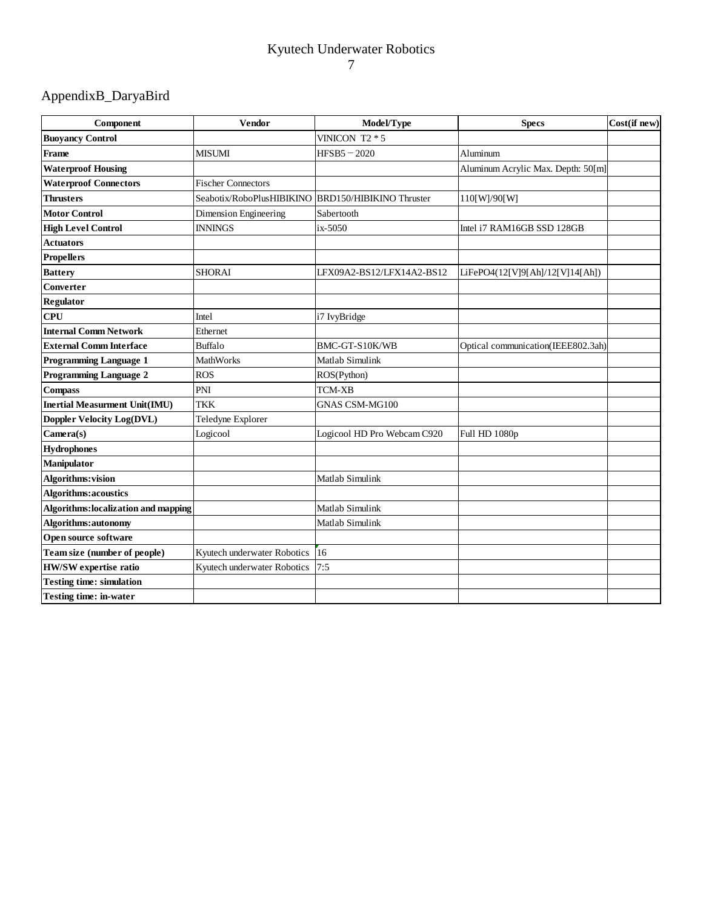#### 7

## AppendixB\_DaryaBird

| Component                            | <b>Vendor</b>               | Model/Type                  | <b>Specs</b>                       | Cost(if new) |
|--------------------------------------|-----------------------------|-----------------------------|------------------------------------|--------------|
| <b>Buoyancy Control</b>              |                             | VINICON $T2 * 5$            |                                    |              |
| Frame                                | <b>MISUMI</b>               | $HFSB5 - 2020$              | Aluminum                           |              |
| <b>Waterproof Housing</b>            |                             |                             | Aluminum Acrylic Max. Depth: 50[m] |              |
| <b>Waterproof Connectors</b>         | <b>Fischer Connectors</b>   |                             |                                    |              |
| <b>Thrusters</b>                     | Seabotix/RoboPlusHIBIKINO   | BRD150/HIBIKINO Thruster    | 110[W]/90[W]                       |              |
| <b>Motor Control</b>                 | Dimension Engineering       | Sabertooth                  |                                    |              |
| <b>High Level Control</b>            | <b>INNINGS</b>              | ix-5050                     | Intel i7 RAM16GB SSD 128GB         |              |
| <b>Actuators</b>                     |                             |                             |                                    |              |
| <b>Propellers</b>                    |                             |                             |                                    |              |
| <b>Battery</b>                       | <b>SHORAI</b>               | LFX09A2-BS12/LFX14A2-BS12   | LiFePO4(12[V]9[Ah]/12[V]14[Ah])    |              |
| <b>Converter</b>                     |                             |                             |                                    |              |
| <b>Regulator</b>                     |                             |                             |                                    |              |
| <b>CPU</b>                           | Intel                       | i7 IvyBridge                |                                    |              |
| <b>Internal Comm Network</b>         | Ethernet                    |                             |                                    |              |
| <b>External Comm Interface</b>       | <b>Buffalo</b>              | BMC-GT-S10K/WB              | Optical communication(IEEE802.3ah) |              |
| <b>Programming Language 1</b>        | MathWorks                   | Matlab Simulink             |                                    |              |
| Programming Language 2               | <b>ROS</b>                  | ROS(Python)                 |                                    |              |
| <b>Compass</b>                       | PNI                         | <b>TCM-XB</b>               |                                    |              |
| <b>Inertial Measurment Unit(IMU)</b> | <b>TKK</b>                  | <b>GNAS CSM-MG100</b>       |                                    |              |
| Doppler Velocity Log(DVL)            | Teledyne Explorer           |                             |                                    |              |
| Camera(s)                            | Logicool                    | Logicool HD Pro Webcam C920 | Full HD 1080p                      |              |
| <b>Hydrophones</b>                   |                             |                             |                                    |              |
| Manipulator                          |                             |                             |                                    |              |
| Algorithms: vision                   |                             | Matlab Simulink             |                                    |              |
| Algorithms: acoustics                |                             |                             |                                    |              |
| Algorithms: localization and mapping |                             | Matlab Simulink             |                                    |              |
| Algorithms:autonomy                  |                             | Matlab Simulink             |                                    |              |
| Open source software                 |                             |                             |                                    |              |
| Team size (number of people)         | Kyutech underwater Robotics | <sup>16</sup>               |                                    |              |
| <b>HW/SW</b> expertise ratio         | Kyutech underwater Robotics | 7:5                         |                                    |              |
| <b>Testing time: simulation</b>      |                             |                             |                                    |              |
| <b>Testing time: in-water</b>        |                             |                             |                                    |              |